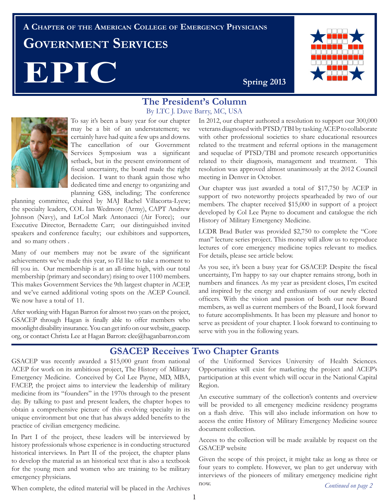# **A Chapter of the American College of Emergency Physicians Government Services EPIC** Spring 2013



#### **The President's Column**  By LTC J. Dave Barry, MC, USA



To say it's been a busy year for our chapter may be a bit of an understatement; we certainly have had quite a few ups and downs. The cancellation of our Government Services Symposium was a significant setback, but in the present environment of fiscal uncertainty, the board made the right decision. I want to thank again those who dedicated time and energy to organizing and planning GSS, including; The conference

planning committee, chaired by MAJ Rachel Villacorta-Lyew; the specialty leaders, COL Ian Wedmore (Army), CAPT Andrew Johnson (Navy), and LtCol Mark Antonacci (Air Force); our Executive Director, Bernadette Carr; our distinguished invited speakers and conference faculty; our exhibitors and supporters, and so many others .

Many of our members may not be aware of the significant achievements we've made this year, so I'd like to take a moment to fill you in. Our membership is at an all-time high, with our total membership (primary and secondary) rising to over 1100 members. This makes Government Services the 9th largest chapter in ACEP, and we've earned additional voting spots on the ACEP Council. We now have a total of 11.

After working with Hagan Barron for almost two years on the project, GSACEP through Hagan is finally able to offer members who moonlight disability insurance. You can get info on our website, gsacep. org, or contact Christa Lee at Hagan Barron: clee@haganbarron.com

In 2012, our chapter authored a resolution to support our 300,000 veterans diagnosed with PTSD/TBI by tasking ACEP to collaborate with other professional societies to share educational resources related to the treatment and referral options in the management and sequelae of PTSD/TBI and promote research opportunities related to their diagnosis, management and treatment. This resolution was approved almost unanimously at the 2012 Council meeting in Denver in October.

Our chapter was just awarded a total of \$17,750 by ACEP in support of two noteworthy projects spearheaded by two of our members. The chapter received \$15,000 in support of a project developed by Col Lee Payne to document and catalogue the rich History of Military Emergency Medicine.

LCDR Brad Butler was provided \$2,750 to complete the "Core man" lecture series project. This money will allow us to reproduce lectures of core emergency medicine topics relevant to medics. For details, please see article below.

As you see, it's been a busy year for GSACEP. Despite the fiscal uncertainty, I'm happy to say our chapter remains strong, both in numbers and finances. As my year as president closes, I'm excited and inspired by the energy and enthusiasm of our newly elected officers. With the vision and passion of both our new Board members, as well as current members of the Board, I look forward to future accomplishments. It has been my pleasure and honor to serve as president of your chapter. I look forward to continuing to serve with you in the following years.

### **GSACEP Receives Two Chapter Grants**

GSACEP was recently awarded a \$15,000 grant from national ACEP for work on its ambitious project, The History of Military Emergency Medicine. Conceived by Col Lee Payne, MD, MBA, FACEP, the project aims to interview the leadership of military medicine from its "founders" in the 1970s through to the present day. By talking to past and present leaders, the chapter hopes to obtain a comprehensive picture of this evolving specialty in its unique environment but one that has always added benefits to the practice of civilian emergency medicine.

In Part I of the project, these leaders will be interviewed by history professionals whose experience is in conducting structured historical interviews. In Part II of the project, the chapter plans to develop the material as an historical text that is also a textbook for the young men and women who are training to be military emergency physicians.

of the Uniformed Services University of Health Sciences. Opportunities will exist for marketing the project and ACEP's participation at this event which will occur in the National Capital Region.

An executive summary of the collection's contents and overview will be provided to all emergency medicine residency programs on a flash drive. This will also include information on how to access the entire History of Military Emergency Medicine source document collection.

Access to the collection will be made available by request on the GSACEP website

Given the scope of this project, it might take as long as three or four years to complete. However, we plan to get underway with interviews of the pioneers of military emergency medicine right now. *Continued on page 2*

When complete, the edited material will be placed in the Archives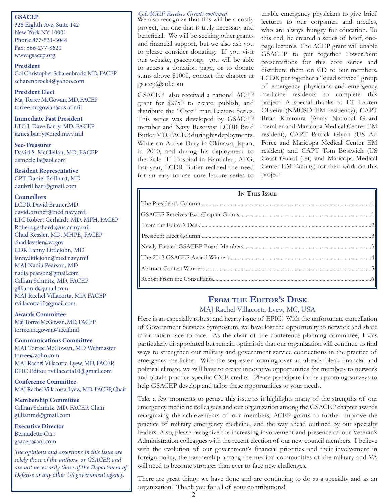328 Eighth Ave, Suite 142 New York NY 10001 Phone 877-531-3044 Fax: 866-277-8620 www.gsacep.org

**President**  Col Christopher Scharenbrock, MD, FACEP scharenbrock4@yahoo.com

**President Elect**  Maj Torree McGowan, MD, FACEP torree.mcgowan@us.af.mil

**Immediate Past President** LTC J. Dave Barry, MD, FACEP james.barry@med.navy.mil

**Sec-Treasurer** David S. McClellan, MD, FACEP dsmcclella@aol.com

**Resident Representative**  CPT Daniel Brillhart, MD danbrillhart@gmail.com

#### **Councillors**

LCDR David Bruner,MD david.bruner@med.navy.mil LTC Robert Gerhardt, MD, MPH, FACEP Robert.gerhardt@us.army.mil Chad Kessler, MD, MHPE, FACEP chad.kessler@va.gov CDR Lanny Littlejohn, MD lanny.littlejohn@med.navy.mil MAJ Nadia Pearson, MD nadia.pearson@gmail.com Gillian Schmitz, MD, FACEP gillianmd@gmail.com MAJ Rachel Villacorta, MD, FACEP rvillacorta10@gmail.com

#### **Awards Committee**

Maj Torree McGowan, MD, FACEP torree.mcgowan@us.af.mil

**Communications Committee**

MAJ Torree McGowan, MD Webmaster torree@zoho.com MAJ Rachel Villacorta-Lyew, MD, FACEP, EPIC Editor, rvillacorta10@gmail.com

**Conference Committee** MAJ Rachel Villacorta-Lyew, MD, FACEP, Chair

**Membership Committee** Gillian Schmitz, MD, FACEP, Chair gillianmd@gmail.com

**Executive Director** Bernadette Carr gsacep@aol.com

*The opinions and assertions in this issue are solely those of the authors, or GSACEP, and are not necessarily those of the Department of Defense or any other US government agency.*

#### *GSACEP Receives Grants continued* **GSACEP**

We also recognize that this will be a costly project, but one that is truly necessary and beneficial. We will be seeking other grants and financial support, but we also ask you to please consider donating. If you visit our website, gsacep.org, you will be able to access a donation page, or to donate sums above \$1000, contact the chapter at gsacep@aol.com.

GSACEP also received a national ACEP grant for \$2750 to create, publish, and distribute the "Core" man Lecture Series. This series was developed by GSACEP member and Navy Reservist LCDR Brad Butler, MD, FACEP, during his deployments. While on Active Duty in Okinawa, Japan, in 2010, and during his deployment to the Role III Hospital in Kandahar, AFG, last year, LCDR Butler realized the need for an easy to use core lecture series to

enable emergency physicians to give brief lectures to our corpsmen and medics, who are always hungry for education. To this end, he created a series of brief, onepage lectures. The ACEP grant will enable GSACEP to put together PowerPoint presentations for this core series and distribute them on CD to our members. LCDR put together a "quad service" group of emergency physicians and emergency medicine residents to complete this project. A special thanks to LT Lauren Oliveira (NMCSD EM residency), CAPT Brian Kitamura (Army National Guard member and Maricopa Medical Center EM resident), CAPT Patrick Glynn (US Air Force and Maricopa Medical Center EM resident) and CAPT Tom Bostwick (US Coast Guard (ret) and Maricopa Medical Center EM Faculty) for their work on this project.

### **From the Editor's Desk**

#### MAJ Rachel Villacorta-Lyew, MC, USA

Here is an especially robust and hearty issue of EPIC! With the unfortunate cancellation of Government Services Symposium, we have lost the opportunity to network and share information face to face. As the chair of the conference planning committee, I was particularly disappointed but remain optimistic that our organization will continue to find ways to strengthen our military and government service connections in the practice of emergency medicine. With the sequester looming over an already bleak financial and political climate, we will have to create innovative opportunities for members to network and obtain practice specific CME credits. Please participate in the upcoming surveys to help GSACEP develop and tailor these opportunities to your needs.

Take a few moments to peruse this issue as it highlights many of the strengths of our emergency medicine colleagues and our organization among the GSACEP chapter awards recognizing the achievements of our members, ACEP grants to further improve the practice of military emergency medicine, and the way ahead outlined by our specialty leaders. Also, please recognize the increasing involvement and presence of our Veteran's Administration colleagues with the recent election of our new council members. I believe with the evolution of our government's financial priorities and their involvement in foreign policy, the partnership among the medical communities of the military and VA will need to become stronger than ever to face new challenges.

There are great things we have done and are continuing to do as a specialty and as an organization! Thank you for all of your contributions!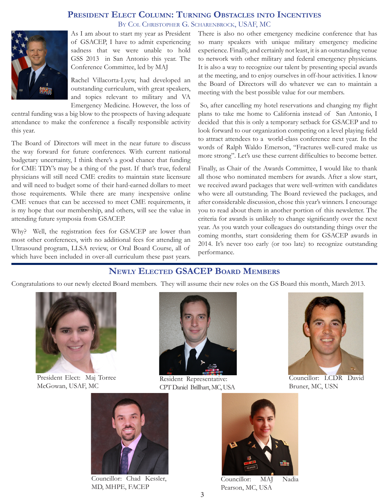#### **President Elect Column: Turning Obstacles into Incentives** By Col Christopher G. Scharenbrock, USAF, MC



As I am about to start my year as President of GSACEP, I have to admit experiencing sadness that we were unable to hold GSS 2013 in San Antonio this year. The Conference Committee, led by MAJ

Rachel Villacorta-Lyew, had developed an outstanding curriculum, with great speakers, and topics relevant to military and VA Emergency Medicine. However, the loss of

central funding was a big blow to the prospects of having adequate attendance to make the conference a fiscally responsible activity this year.

The Board of Directors will meet in the near future to discuss the way forward for future conferences. With current national budgetary uncertainty, I think there's a good chance that funding for CME TDY's may be a thing of the past. If that's true, federal physicians will still need CME credits to maintain state licensure and will need to budget some of their hard-earned dollars to meet those requirements. While there are many inexpensive online CME venues that can be accessed to meet CME requirements, it is my hope that our membership, and others, will see the value in attending future symposia from GSACEP.

Why? Well, the registration fees for GSACEP are lower than most other conferences, with no additional fees for attending an Ultrasound program, LLSA review, or Oral Board Course, all of which have been included in over-all curriculum these past years.

There is also no other emergency medicine conference that has so many speakers with unique military emergency medicine experience. Finally, and certainly not least, it is an outstanding venue to network with other military and federal emergency physicians. It is also a way to recognize our talent by presenting special awards at the meeting, and to enjoy ourselves in off-hour activities. I know the Board of Directors will do whatever we can to maintain a meeting with the best possible value for our members.

 So, after cancelling my hotel reservations and changing my flight plans to take me home to California instead of San Antonio, I decided that this is only a temporary setback for GSACEP and to look forward to our organization competing on a level playing field to attract attendees to a world-class conference next year. In the words of Ralph Waldo Emerson, "Fractures well-cured make us more strong". Let's use these current difficulties to become better.

Finally, as Chair of the Awards Committee, I would like to thank all those who nominated members for awards. After a slow start, we received award packages that were well-written with candidates who were all outstanding. The Board reviewed the packages, and after considerable discussion, chose this year's winners. I encourage you to read about them in another portion of this newsletter. The criteria for awards is unlikely to change significantly over the next year. As you watch your colleagues do outstanding things over the coming months, start considering them for GSACEP awards in 2014. It's never too early (or too late) to recognize outstanding performance.

### **Newly Elected GSACEP Board Members**

Congratulations to our newly elected Board members. They will assume their new roles on the GS Board this month, March 2013.



President Elect: Maj Torree McGowan, USAF, MC



Resident Representative: CPT Daniel Brillhart, MC, USA



Councillor: LCDR David Bruner, MC, USN



Councillor: Chad Kessler, MD, MHPE, FACEP



Councillor: MAJ Nadia Pearson, MC, USA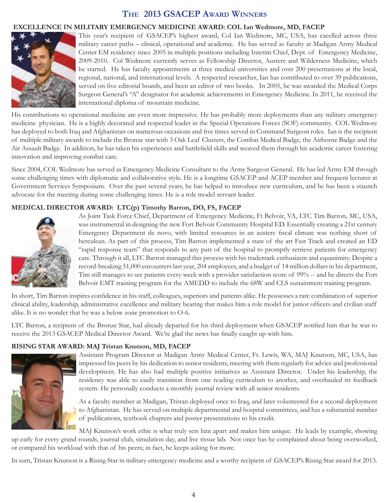#### **The 2013 GSACEP Award Winners**

#### **EXCELLENCE IN MILITARY EMERGENCY MEDICINE AWARD: COL Ian Wedmore, MD, FACEP**



This year's recipient of GSACEP's highest award, Col Ian Wedmore, MC, USA, has excelled across three military career paths – clinical, operational and academic. He has served as faculty at Madigan Army Medical Center EM residency since 2005 in multiple positions including Interim Chief, Dept. of Emergency Medicine, 2009-2010. Col Wedmore currently serves as Fellowship Director, Austere and Wilderness Medicine, which he started. He has faculty appointments at three medical universities and over 200 presentations at the local, regional, national, and international levels. A respected researcher, Ian has contributed to over 39 publications, served on five editorial boards, and been an editor of two books. In 2005, he was awarded the Medical Corps Surgeon General's "A" designator for academic achievements in Emergency Medicine. In 2011, he received the international diploma of mountain medicine.

His contributions to operational medicine are even more impressive. He has probably more deployments than any military emergency medicine physician. He is a highly decorated and respected leader in the Special Operations Forces (SOF) community. COL Wedmore has deployed to both Iraq and Afghanistan on numerous occasions and five times served in Command Surgeon roles. Ian is the recipient of multiple military awards to include the Bronze star with 3 Oak Leaf Clusters, the Combat Medical Badge, the Airborne Badge and the Air Assault Badge. In addition, he has taken his experiences and battlefield skills and weaved them through his academic career fostering innovation and improving combat care.

Since 2004, COL Wedmore has served as Emergency Medicine Consultant to the Army Surgeon General. He has led Army EM through some challenging times with diplomatic and collaborative style. He is a longtime GSACEP and ACEP member and frequent lecturer at Government Services Symposium. Over the past several years, he has helped to introduce new curriculum, and he has been a staunch advocate for the meeting during some challenging times. He is a role model servant leader.

#### **MEDICAL DIRECTOR AWARD: LTC(p) Timothy Barron, DO, FS, FACEP**



As Joint Task Force Chief, Department of Emergency Medicine, Ft Belvoir, VA, LTC Tim Barron, MC, USA, was instrumental in designing the new Fort Belvoir Community Hospital ED. Essentially creating a 21st century Emergency Department de novo, with limited resources in an austere fiscal climate was nothing short of herculean. As part of this process, Tim Barron implemented a state of the art Fast Track and created an ED "rapid response team" that responds to any part of the hospital to promptly retrieve patients for emergency care. Through it all, LTC Barron managed this process with his trademark enthusiasm and equanimity. Despite a record-breaking 51,000 encounters last year, 204 employees, and a budget of 14 million dollars in his department, Tim still manages to see patients every week with a provider satisfaction score of 99% -- and he directs the Fort Belvoir EMT training program for the AMEDD to include the 68W and CLS sustainment training program.

In short, Tim Barron inspires confidence in his staff, colleagues, superiors and patients alike. He possesses a rare combination of superior clinical ability, leadership, administrative excellence and military bearing that makes him a role model for junior officers and civilian staff alike. It is no wonder that he was a below zone promotion to O-6.

LTC Barron, a recipient of the Bronze Star, had already departed for his third deployment when GSACEP notified him that he was to receive the 2013 GSACEP Medical Director Award. We're glad the news has finally caught up with him.

#### **RISING STAR AWARD: MAJ Tristan Knutson, MD, FACEP**



Assistant Program Director at Madigan Army Medical Center, Ft. Lewis, WA, MAJ Knutson, MC, USA, has impressed his peers by his dedication to senior residents, meeting with them regularly for advice and professional development. He has also had multiple positive initiatives as Assistant Director. Under his leadership, the residency was able to easily transition from one reading curriculum to another, and overhauled its feedback system. He personally conducts a monthly journal review with all senior residents.

As a faculty member at Madigan, Tristan deployed once to Iraq, and later volunteered for a second deployment to Afghanistan. He has served on multiple departmental and hospital committees, and has a substantial number of publications, textbook chapters and poster presentations to his credit.

MAJ Knutson's work ethic is what truly sets him apart and makes him unique. He leads by example, showing up early for every grand rounds, journal club, simulation day, and live tissue lab. Not once has he complained about being overworked, or compared his workload with that of his peers; in fact, he keeps asking for more.

In sum, Tristan Knutson is a Rising Star in military emergency medicine and a worthy recipient of GSACEP's Rising Star award for 2013.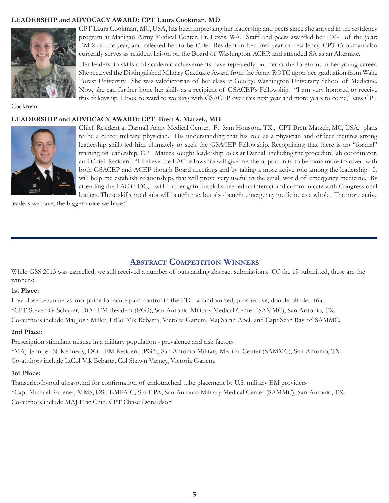#### **LEADERSHIP and ADVOCACY AWARD: CPT Laura Cookman, MD**



CPT Laura Cookman, MC, USA, has been impressing her leadership and peers since she arrived in the residency program at Madigan Army Medical Center, Ft. Lewis, WA. Staff and peers awarded her EM-1 of the year; EM-2 of the year, and selected her to be Chief Resident in her final year of residency. CPT Cookman also currently serves as resident liaison on the Board of Washington ACEP, and attended SA as an Alternate.

Her leadership skills and academic achievements have repeatedly put her at the forefront in her young career. She received the Distinguished Military Graduate Award from the Army ROTC upon her graduation from Wake Forest University. She was valedictorian of her class at George Washington University School of Medicine. Now, she can further hone her skills as a recipient of GSACEP's Fellowship. "I am very honored to receive this fellowship. I look forward to working with GSACEP over this next year and more years to come," says CPT

Cookman.

#### **LEADERSHIP and ADVOCACY AWARD: CPT Brett A. Matzek, MD**



Chief Resident at Darnall Army Medical Center, Ft. Sam Houston, TX., CPT Brett Matzek, MC, USA, plans to be a career military physician. His understanding that his role as a physician and officer requires strong leadership skills led him ultimately to seek the GSACEP Fellowship. Recognizing that there is no "formal" training on leadership, CPT Matzek sought leadership roles at Darnall including the procedure lab coordinator, and Chief Resident. "I believe the LAC fellowship will give me the opportunity to become more involved with both GSACEP and ACEP though Board meetings and by taking a more active role among the leadership. It will help me establish relationships that will prove very useful in the small world of emergency medicine. By attending the LAC in DC, I will further gain the skills needed to interact and communicate with Congressional leaders. These skills, no doubt will benefit me, but also benefit emergency medicine as a whole. The more active

leaders we have, the bigger voice we have."

#### **Abstract Competition Winners**

While GSS 2013 was cancelled, we still received a number of outstanding abstract submissions. Of the 19 submitted, these are the winners:

#### **1st Place:**

Low-dose ketamine vs. morphine for acute pain control in the ED - a randomized, prospective, double-blinded trial. \*CPT Steven G. Schauer, DO - EM Resident (PG3), San Antonio Military Medical Center (SAMMC), San Antonio, TX. Co-authors include Maj Josh Miller, LtCol Vik Bebarta, Victoria Ganem, Maj Sarah Abel, and Capt Sean Ray of SAMMC.

#### **2nd Place:**

Prescription stimulant misuse in a military population - prevalence and risk factors. \*MAJ Jennifer N. Kennedy, DO - EM Resident (PG3), San Antonio Military Medical Center (SAMMC), San Antonio, TX. Co-authors include LtCol Vik Bebarta, Col Shawn Varney, Victoria Ganem.

#### **3rd Place:**

Transcricothyroid ultrasound for confirmation of endotracheal tube placement by U.S. military EM providers \*Capt Michael Rabener, MMS, DSc-EMPA-C; Staff PA, San Antonio Military Medical Center (SAMMC), San Antonio, TX. Co-authors include MAJ Eric Chin, CPT Chase Donaldson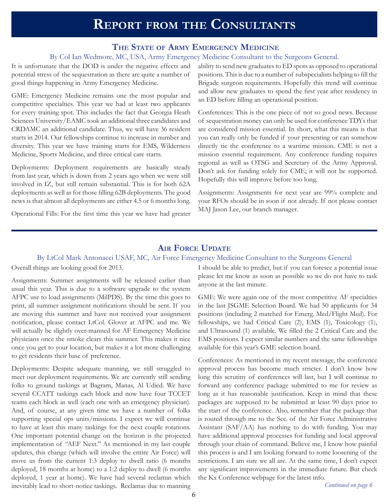# **Report from the Consultants**

#### **The State of Army Emergency Medicine**

#### By Col Ian Wedmore, MC, USA, Army Emergency Medicine Consultant to the Surgeons General.

It is unfortunate that the DOD is under the negative effects and potential stress of the sequestration as there are quite a number of good things happening in Army Emergency Medicine.

GME: Emergency Medicine remains one the most popular and competitive specialties. This year we had at least two applicants for every training spot. This includes the fact that Georgia Heath Sciences University/EAMC took an additional three candidates and CRDAMC an additional candidate. Thus, we will have 36 resident starts in 2014. Our fellowships continue to increase in number and diversity. This year we have training starts for EMS, Wilderness Medicine, Sports Medicine, and three critical care starts.

Deployments: Deployment requirements are basically steady from last year, which is down from 2 years ago when we were still involved in IZ, but still remain substantial. This is for both 62A deployments as well as for those filling 62B deployments. The good news is that almost all deployments are either 4.5 or 6 months long.

Operational Fills: For the first time this year we have had greater

ability to send new graduates to ED spots as opposed to operational positions. This is due to a number of subspecialists helping to fill the Brigade surgeon requirements. Hopefully this trend will continue and allow new graduates to spend the first year after residency in an ED before filling an operational position.

Conferences: This is the one piece of not so good news. Because of sequestration money can only be used for conference TDYs that are considered mission essential. In short, what this means is that you can really only be funded if your presenting or can somehow directly tie the conference to a wartime mission. CME is not a mission essential requirement. Any conference funding requires regional as well as OTSG and Secretary of the Army Approval. Don't ask for funding solely for CME; it will not be supported. Hopefully this will improve before too long.

Assignments: Assignments for next year are 99% complete and your RFOs should be in soon if not already. If not please contact MAJ Jason Lee, our branch manager.

#### **Air Force Update**

#### By LtCol Mark Antonacci USAF, MC, Air Force Emergency Medicine Consultant to the Surgeons General

Overall things are looking good for 2013.

Assignments: Summer assignments will be released earlier than usual this year. This is due to a software upgrade to the system AFPC use to load assignments (MilPDS). By the time this goes to print, all summer assignment notifications should be sent. If you are moving this summer and have not received your assignment notification, please contact LtCol. Glover at AFPC and me. We will actually be slightly over-manned for AF Emergency Medicine physicians once the smoke clears this summer. This makes it nice once you get to your location, but makes it a lot more challenging to get residents their base of preference.

Deployments: Despite adequate manning, we still struggled to meet our deployment requirements. We are currently still sending folks to ground taskings at Bagram, Manas, Al Udied. We have several CCATT taskings each block and now have four TCCET teams each block as well (each one with an emergency physician). And, of course, at any given time we have a number of folks supporting special ops units/missions. I expect we will continue to have at least this many taskings for the next couple rotations. One important potential change on the horizon is the projected implementation of "AEF Next." As mentioned in my last couple updates, this change (which will involve the entire Air Force) will move us from the current 1:3 deploy to dwell ratio (6 months deployed, 18 months at home) to a 1:2 deploy to dwell (6 months deployed, 1 year at home). We have had several reclamas which inevitably lead to short-notice taskings. Reclamas due to manning

I should be able to predict, but if you can foresee a potential issue please let me know as soon as possible so we do not have to task anyone at the last minute.

GME: We were again one of the most competitive AF specialties in the last JSGME Selection Board. We had 50 applicants for 34 positions (including 2 matched for Emerg. Med/Flight Med). For fellowships, we had Critical Care (2), EMS (1), Toxicology (1), and Ultrasound (1) available. We filled the 2 Critical Care and the EMS positions. I expect similar numbers and the same fellowships available for this year's GME selection board.

Conferences: As mentioned in my recent message, the conference approval process has become much stricter. I don't know how long this scrutiny of conferences will last, but I will continue to forward any conference package submitted to me for review as long as it has reasonable justification. Keep in mind that these packages are supposed to be submitted at least 90 days prior to the start of the conference. Also, remember that the package that is routed through me to the Sec. of the Air Force Administrative Assistant (SAF/AA) has nothing to do with funding. You may have additional approval processes for funding and local approval through your chain of command. Believe me, I know how painful this process is and I am looking forward to some loosening of the restrictions. I am sure we all are. At the same time, I don't expect any significant improvements in the immediate future. But check the Kx Conference webpage for the latest info.